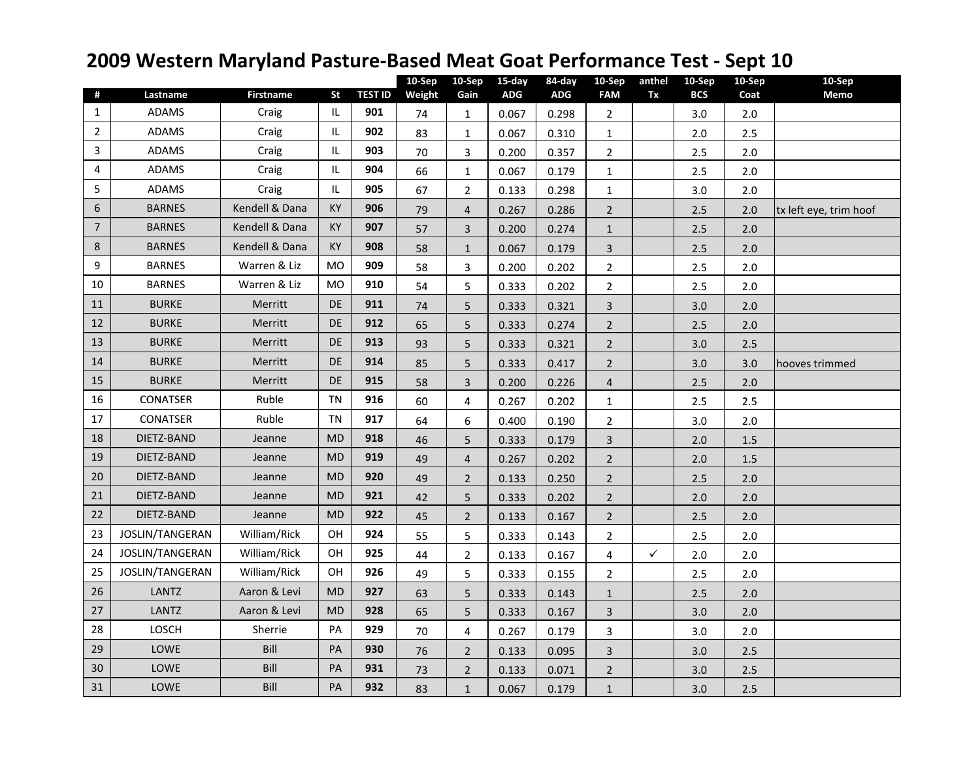## **2009 Western Maryland Pasture-Based Meat Goat Performance Test - Sept 10**

| #                | Lastname        | <b>Firstname</b> | St                                | <b>TEST ID</b> | 10-Sep<br>Weight | 10-Sep<br>Gain | 15-day<br><b>ADG</b> | 84-day<br><b>ADG</b> | 10-Sep<br><b>FAM</b>    | anthel<br>Tx | 10-Sep<br><b>BCS</b> | 10-Sep<br>Coat | 10-Sep<br><b>Memo</b>  |
|------------------|-----------------|------------------|-----------------------------------|----------------|------------------|----------------|----------------------|----------------------|-------------------------|--------------|----------------------|----------------|------------------------|
| $\mathbf{1}$     | <b>ADAMS</b>    | Craig            | $\ensuremath{\mathsf{IL}}\xspace$ | 901            | 74               | $\mathbf{1}$   | 0.067                | 0.298                | $\overline{2}$          |              | 3.0                  | $2.0$          |                        |
| $\overline{2}$   | <b>ADAMS</b>    | Craig            | IL.                               | 902            | 83               | $\mathbf{1}$   | 0.067                | 0.310                | $\mathbf{1}$            |              | 2.0                  | 2.5            |                        |
| 3                | <b>ADAMS</b>    | Craig            | IL.                               | 903            | 70               | 3              | 0.200                | 0.357                | $\overline{2}$          |              | 2.5                  | $2.0$          |                        |
| 4                | <b>ADAMS</b>    | Craig            | IL                                | 904            | 66               | $\mathbf{1}$   | 0.067                | 0.179                | $\mathbf{1}$            |              | 2.5                  | 2.0            |                        |
| 5                | <b>ADAMS</b>    | Craig            | IL.                               | 905            | 67               | $\overline{2}$ | 0.133                | 0.298                | $\mathbf{1}$            |              | 3.0                  | 2.0            |                        |
| $\boldsymbol{6}$ | <b>BARNES</b>   | Kendell & Dana   | KY                                | 906            | 79               | 4              | 0.267                | 0.286                | $\overline{2}$          |              | 2.5                  | 2.0            | tx left eye, trim hoof |
| $\overline{7}$   | <b>BARNES</b>   | Kendell & Dana   | KY                                | 907            | 57               | 3              | 0.200                | 0.274                | $\mathbf{1}$            |              | 2.5                  | 2.0            |                        |
| 8                | <b>BARNES</b>   | Kendell & Dana   | <b>KY</b>                         | 908            | 58               | $\mathbf{1}$   | 0.067                | 0.179                | $\overline{\mathbf{3}}$ |              | 2.5                  | 2.0            |                        |
| 9                | <b>BARNES</b>   | Warren & Liz     | <b>MO</b>                         | 909            | 58               | 3              | 0.200                | 0.202                | $\overline{2}$          |              | 2.5                  | 2.0            |                        |
| 10               | <b>BARNES</b>   | Warren & Liz     | <b>MO</b>                         | 910            | 54               | 5              | 0.333                | 0.202                | $\mathbf{2}$            |              | 2.5                  | 2.0            |                        |
| 11               | <b>BURKE</b>    | Merritt          | <b>DE</b>                         | 911            | 74               | 5              | 0.333                | 0.321                | $\overline{3}$          |              | 3.0                  | 2.0            |                        |
| 12               | <b>BURKE</b>    | Merritt          | <b>DE</b>                         | 912            | 65               | 5              | 0.333                | 0.274                | $\overline{2}$          |              | 2.5                  | 2.0            |                        |
| 13               | <b>BURKE</b>    | Merritt          | DE.                               | 913            | 93               | 5              | 0.333                | 0.321                | $\overline{2}$          |              | 3.0                  | 2.5            |                        |
| 14               | <b>BURKE</b>    | Merritt          | <b>DE</b>                         | 914            | 85               | 5              | 0.333                | 0.417                | $\overline{2}$          |              | 3.0                  | 3.0            | hooves trimmed         |
| 15               | <b>BURKE</b>    | Merritt          | DE                                | 915            | 58               | $\overline{3}$ | 0.200                | 0.226                | $\overline{4}$          |              | 2.5                  | 2.0            |                        |
| 16               | <b>CONATSER</b> | Ruble            | <b>TN</b>                         | 916            | 60               | 4              | 0.267                | 0.202                | $\mathbf 1$             |              | 2.5                  | 2.5            |                        |
| 17               | CONATSER        | Ruble            | TN                                | 917            | 64               | 6              | 0.400                | 0.190                | $\overline{2}$          |              | 3.0                  | 2.0            |                        |
| 18               | DIETZ-BAND      | Jeanne           | <b>MD</b>                         | 918            | 46               | 5              | 0.333                | 0.179                | $\overline{\mathbf{3}}$ |              | 2.0                  | 1.5            |                        |
| 19               | DIETZ-BAND      | Jeanne           | <b>MD</b>                         | 919            | 49               | $\overline{4}$ | 0.267                | 0.202                | $\overline{2}$          |              | 2.0                  | 1.5            |                        |
| 20               | DIETZ-BAND      | Jeanne           | <b>MD</b>                         | 920            | 49               | $\overline{2}$ | 0.133                | 0.250                | $\overline{2}$          |              | 2.5                  | 2.0            |                        |
| 21               | DIETZ-BAND      | Jeanne           | <b>MD</b>                         | 921            | 42               | 5              | 0.333                | 0.202                | $\overline{2}$          |              | 2.0                  | $2.0$          |                        |
| 22               | DIETZ-BAND      | Jeanne           | <b>MD</b>                         | 922            | 45               | $\overline{2}$ | 0.133                | 0.167                | $\overline{2}$          |              | 2.5                  | 2.0            |                        |
| 23               | JOSLIN/TANGERAN | William/Rick     | OH                                | 924            | 55               | 5              | 0.333                | 0.143                | $\overline{2}$          |              | 2.5                  | $2.0$          |                        |
| 24               | JOSLIN/TANGERAN | William/Rick     | OH                                | 925            | 44               | $\overline{2}$ | 0.133                | 0.167                | 4                       | $\checkmark$ | 2.0                  | 2.0            |                        |
| 25               | JOSLIN/TANGERAN | William/Rick     | OH                                | 926            | 49               | 5              | 0.333                | 0.155                | $\overline{2}$          |              | 2.5                  | 2.0            |                        |
| 26               | <b>LANTZ</b>    | Aaron & Levi     | <b>MD</b>                         | 927            | 63               | 5              | 0.333                | 0.143                | $\mathbf{1}$            |              | 2.5                  | 2.0            |                        |
| 27               | LANTZ           | Aaron & Levi     | <b>MD</b>                         | 928            | 65               | 5              | 0.333                | 0.167                | $\overline{3}$          |              | 3.0                  | 2.0            |                        |
| 28               | <b>LOSCH</b>    | Sherrie          | PA                                | 929            | 70               | 4              | 0.267                | 0.179                | 3                       |              | 3.0                  | 2.0            |                        |
| 29               | LOWE            | Bill             | PA                                | 930            | 76               | $\overline{2}$ | 0.133                | 0.095                | $\overline{3}$          |              | 3.0                  | 2.5            |                        |
| 30               | LOWE            | Bill             | PA                                | 931            | 73               | $\overline{2}$ | 0.133                | 0.071                | $\overline{2}$          |              | 3.0                  | 2.5            |                        |
| 31               | LOWE            | Bill             | PA                                | 932            | 83               | $\mathbf{1}$   | 0.067                | 0.179                | $\mathbf{1}$            |              | 3.0                  | 2.5            |                        |